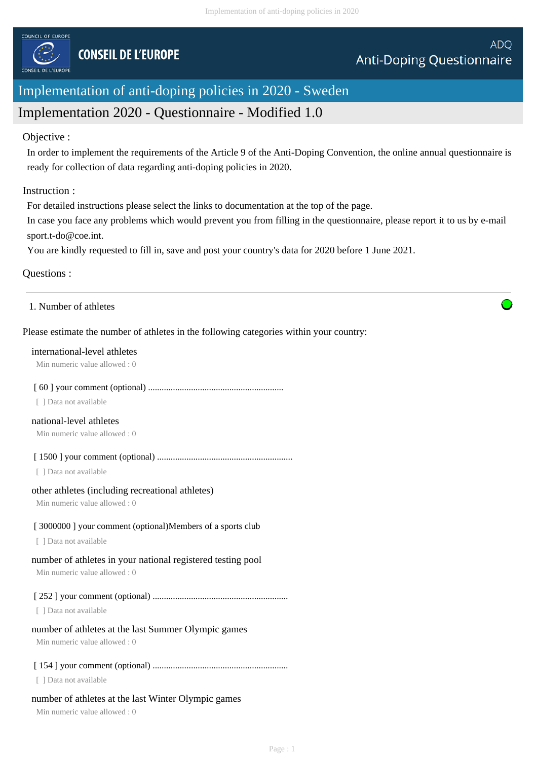

# Implementation of anti-doping policies in 2020 - Sweden

# Implementation 2020 - Questionnaire - Modified 1.0

### Objective :

In order to implement the requirements of the Article 9 of the Anti-Doping Convention, the online annual questionnaire is ready for collection of data regarding anti-doping policies in 2020.

### Instruction :

For detailed instructions please select the links to documentation at the top of the page.

In case you face any problems which would prevent you from filling in the questionnaire, please report it to us by e-mail sport.t-do@coe.int.

You are kindly requested to fill in, save and post your country's data for 2020 before 1 June 2021.

# Questions :

1. Number of athletes

# Please estimate the number of athletes in the following categories within your country:

#### international-level athletes

Min numeric value allowed : 0

### [ 60 ] your comment (optional) ............................................................

[ ] Data not available

# national-level athletes

Min numeric value allowed : 0

[ 1500 ] your comment (optional) ............................................................

[ ] Data not available

### other athletes (including recreational athletes)

Min numeric value allowed : 0

# [ 3000000 ] your comment (optional)Members of a sports club

[ ] Data not available

# number of athletes in your national registered testing pool

Min numeric value allowed : 0

# [ 252 ] your comment (optional) ............................................................

[ ] Data not available

# number of athletes at the last Summer Olympic games

Min numeric value allowed : 0

# [ 154 ] your comment (optional) ............................................................

[ ] Data not available

# number of athletes at the last Winter Olympic games

Min numeric value allowed : 0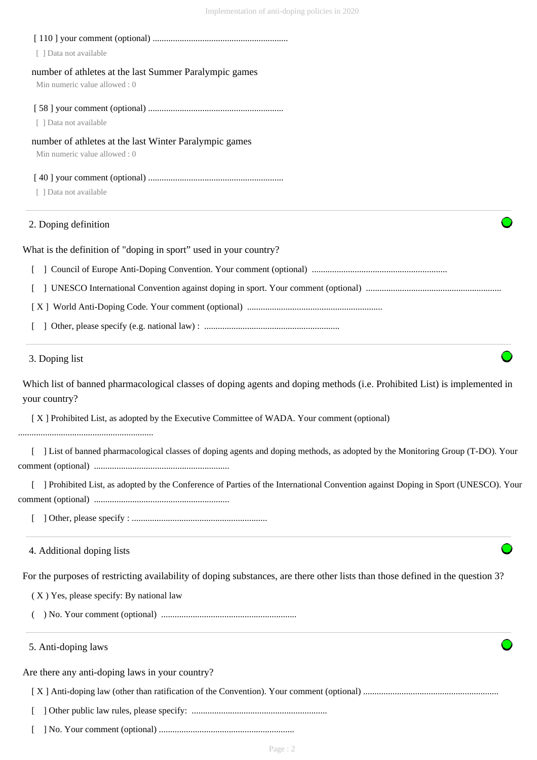| [ ] Data not available                                                                                                                     |
|--------------------------------------------------------------------------------------------------------------------------------------------|
| number of athletes at the last Summer Paralympic games                                                                                     |
| Min numeric value allowed: 0                                                                                                               |
|                                                                                                                                            |
| [ ] Data not available                                                                                                                     |
| number of athletes at the last Winter Paralympic games<br>Min numeric value allowed: 0                                                     |
|                                                                                                                                            |
| [ ] Data not available                                                                                                                     |
| 2. Doping definition                                                                                                                       |
| What is the definition of "doping in sport" used in your country?                                                                          |
|                                                                                                                                            |
|                                                                                                                                            |
|                                                                                                                                            |
|                                                                                                                                            |
| 3. Doping list                                                                                                                             |
| Which list of banned pharmacological classes of doping agents and doping methods (i.e. Prohibited List) is implemented in<br>your country? |
| [X] Prohibited List, as adopted by the Executive Committee of WADA. Your comment (optional)                                                |
| [ ] List of banned pharmacological classes of doping agents and doping methods, as adopted by the Monitoring Group (T-DO). Your            |
| [ ] Prohibited List, as adopted by the Conference of Parties of the International Convention against Doping in Sport (UNESCO). Your        |
|                                                                                                                                            |
| 4. Additional doping lists                                                                                                                 |
| For the purposes of restricting availability of doping substances, are there other lists than those defined in the question 3?             |
| (X) Yes, please specify: By national law                                                                                                   |
|                                                                                                                                            |
| 5. Anti-doping laws                                                                                                                        |
| Are there any anti-doping laws in your country?                                                                                            |
|                                                                                                                                            |
|                                                                                                                                            |

[ ] No. Your comment (optional) ............................................................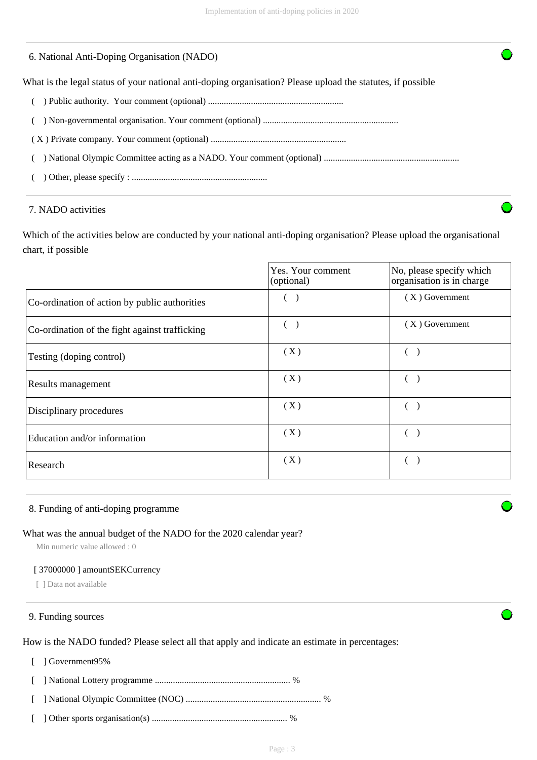### 6. National Anti-Doping Organisation (NADO)

What is the legal status of your national anti-doping organisation? Please upload the statutes, if possible

- ( ) Public authority. Your comment (optional) ............................................................
- ( ) Non-governmental organisation. Your comment (optional) ............................................................
- ( X ) Private company. Your comment (optional) ............................................................

( ) National Olympic Committee acting as a NADO. Your comment (optional) ............................................................

( ) Other, please specify : ............................................................

#### 7. NADO activities

Which of the activities below are conducted by your national anti-doping organisation? Please upload the organisational chart, if possible

|                                                | Yes. Your comment<br>(optional) | No, please specify which<br>organisation is in charge |
|------------------------------------------------|---------------------------------|-------------------------------------------------------|
| Co-ordination of action by public authorities  |                                 | $(X)$ Government                                      |
| Co-ordination of the fight against trafficking |                                 | $(X)$ Government                                      |
| Testing (doping control)                       | (X)                             |                                                       |
| Results management                             | (X)                             |                                                       |
| Disciplinary procedures                        | (X)                             |                                                       |
| Education and/or information                   | (X)                             |                                                       |
| Research                                       | (X)                             |                                                       |

#### 8. Funding of anti-doping programme

#### What was the annual budget of the NADO for the 2020 calendar year?

Min numeric value allowed : 0

#### [ 37000000 ] amountSEKCurrency

[ ] Data not available

#### 9. Funding sources

How is the NADO funded? Please select all that apply and indicate an estimate in percentages:

[ ] Government95%

[ ] National Lottery programme ............................................................ %

- [ ] National Olympic Committee (NOC) ............................................................ %
- [ ] Other sports organisation(s) ............................................................ %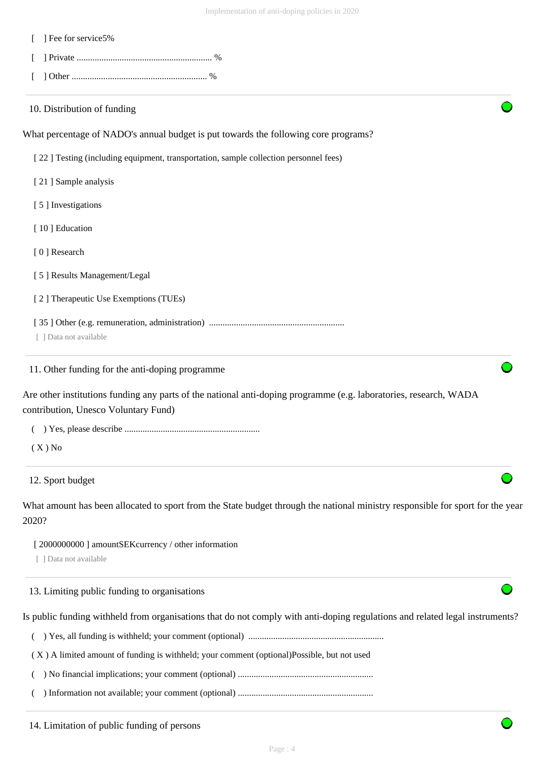| ] Fee for service5%                                                                                                                                       |
|-----------------------------------------------------------------------------------------------------------------------------------------------------------|
|                                                                                                                                                           |
|                                                                                                                                                           |
| 10. Distribution of funding                                                                                                                               |
| What percentage of NADO's annual budget is put towards the following core programs?                                                                       |
| [22] Testing (including equipment, transportation, sample collection personnel fees)                                                                      |
| [21] Sample analysis                                                                                                                                      |
| [5] Investigations                                                                                                                                        |
| [10] Education                                                                                                                                            |
| [0] Research                                                                                                                                              |
| [5] Results Management/Legal                                                                                                                              |
| [2] Therapeutic Use Exemptions (TUEs)                                                                                                                     |
| [ ] Data not available                                                                                                                                    |
| 11. Other funding for the anti-doping programme                                                                                                           |
| Are other institutions funding any parts of the national anti-doping programme (e.g. laboratories, research, WADA<br>contribution, Unesco Voluntary Fund) |
|                                                                                                                                                           |
| $(X)$ No                                                                                                                                                  |
| 12. Sport budget                                                                                                                                          |
| What amount has been allocated to sport from the State budget through the national ministry responsible for sport for the year<br>2020?                   |
| [2000000000] amountSEK currency / other information<br>[ ] Data not available                                                                             |
| 13. Limiting public funding to organisations                                                                                                              |
| Is public funding withheld from organisations that do not comply with anti-doping regulations and related legal instruments?                              |
|                                                                                                                                                           |
| (X) A limited amount of funding is withheld; your comment (optional)Possible, but not used                                                                |
|                                                                                                                                                           |
|                                                                                                                                                           |

14. Limitation of public funding of persons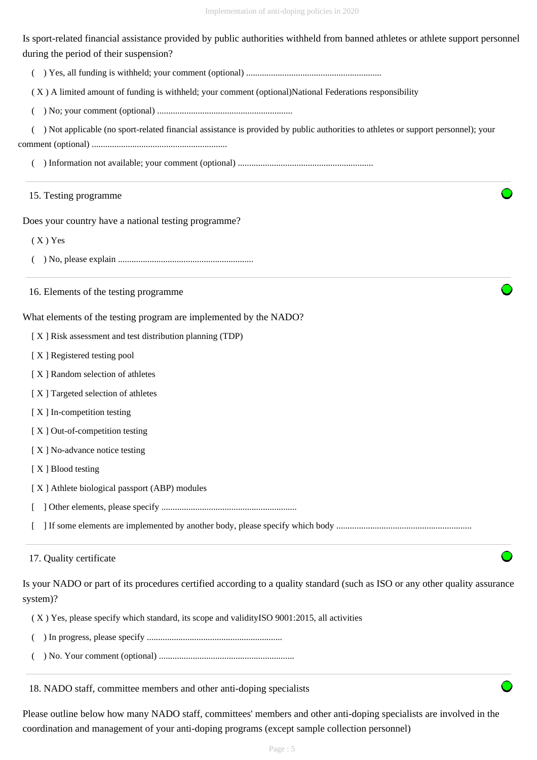Is sport-related financial assistance provided by public authorities withheld from banned athletes or athlete support personnel during the period of their suspension?

( ) Yes, all funding is withheld; your comment (optional) ............................................................

( X ) A limited amount of funding is withheld; your comment (optional)National Federations responsibility

( ) No; your comment (optional) ............................................................

 ( ) Not applicable (no sport-related financial assistance is provided by public authorities to athletes or support personnel); your comment (optional) ............................................................

( ) Information not available; your comment (optional) ............................................................

# 15. Testing programme

Does your country have a national testing programme?

( X ) Yes

( ) No, please explain ............................................................

16. Elements of the testing programme

What elements of the testing program are implemented by the NADO?

[ X ] Risk assessment and test distribution planning (TDP)

[ X ] Registered testing pool

- [ X ] Random selection of athletes
- [ X ] Targeted selection of athletes
- [ X ] In-competition testing
- [X] Out-of-competition testing
- [X] No-advance notice testing
- [X ] Blood testing
- [ X ] Athlete biological passport (ABP) modules
- [ ] Other elements, please specify ............................................................

[ ] If some elements are implemented by another body, please specify which body ............................................................

### 17. Quality certificate

Is your NADO or part of its procedures certified according to a quality standard (such as ISO or any other quality assurance system)?

( X ) Yes, please specify which standard, its scope and validityISO 9001:2015, all activities

- ( ) In progress, please specify ............................................................
- ( ) No. Your comment (optional) ............................................................

18. NADO staff, committee members and other anti-doping specialists

Please outline below how many NADO staff, committees' members and other anti-doping specialists are involved in the coordination and management of your anti-doping programs (except sample collection personnel)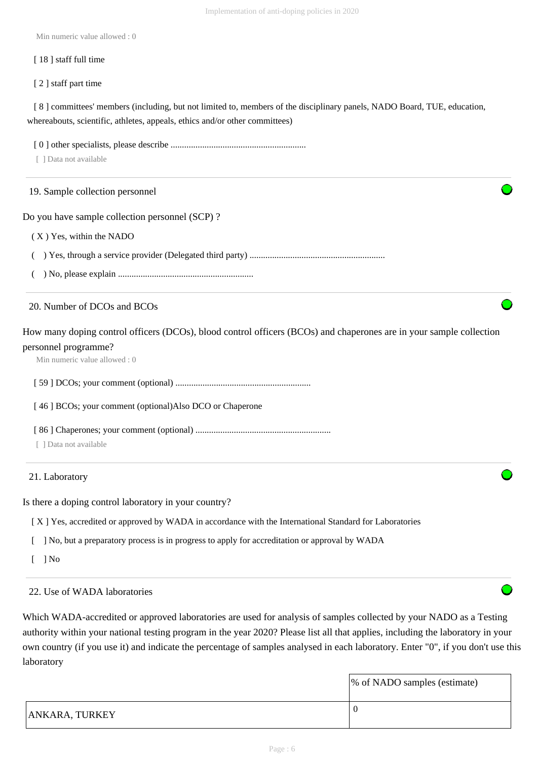Implementation of anti-doping policies in 2020

Min numeric value allowed : 0

#### [ 18 ] staff full time

[ 2 ] staff part time

[8] committees' members (including, but not limited to, members of the disciplinary panels, NADO Board, TUE, education, whereabouts, scientific, athletes, appeals, ethics and/or other committees)

 [ 0 ] other specialists, please describe ............................................................ [ ] Data not available Do you have sample collection personnel (SCP) ? ( X ) Yes, within the NADO ( ) Yes, through a service provider (Delegated third party) ............................................................ ( ) No, please explain ............................................................ How many doping control officers (DCOs), blood control officers (BCOs) and chaperones are in your sample collection personnel programme? Min numeric value allowed : 0 [ 59 ] DCOs; your comment (optional) ............................................................ [ 46 ] BCOs; your comment (optional)Also DCO or Chaperone [ 86 ] Chaperones; your comment (optional) ............................................................ [ ] Data not available Is there a doping control laboratory in your country? [ X ] Yes, accredited or approved by WADA in accordance with the International Standard for Laboratories 19. Sample collection personnel 20. Number of DCOs and BCOs 21. Laboratory

[ ] No, but a preparatory process is in progress to apply for accreditation or approval by WADA

 $\lceil$   $\rceil$  No

# 22. Use of WADA laboratories

Which WADA-accredited or approved laboratories are used for analysis of samples collected by your NADO as a Testing authority within your national testing program in the year 2020? Please list all that applies, including the laboratory in your own country (if you use it) and indicate the percentage of samples analysed in each laboratory. Enter "0", if you don't use this laboratory

|                       | % of NADO samples (estimate) |
|-----------------------|------------------------------|
| <b>ANKARA, TURKEY</b> |                              |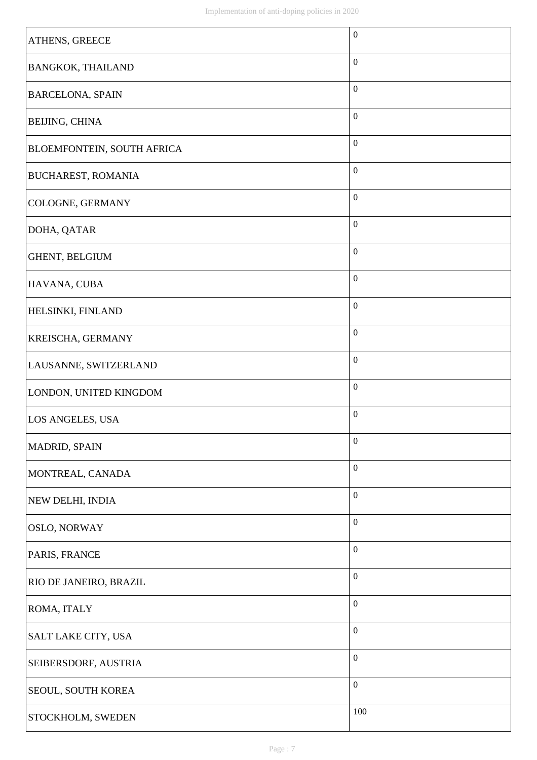| ATHENS, GREECE                    | $\boldsymbol{0}$ |
|-----------------------------------|------------------|
|                                   | $\boldsymbol{0}$ |
| <b>BANGKOK, THAILAND</b>          |                  |
| <b>BARCELONA, SPAIN</b>           | $\boldsymbol{0}$ |
| <b>BEIJING, CHINA</b>             | $\boldsymbol{0}$ |
| <b>BLOEMFONTEIN, SOUTH AFRICA</b> | $\boldsymbol{0}$ |
| <b>BUCHAREST, ROMANIA</b>         | $\boldsymbol{0}$ |
| <b>COLOGNE, GERMANY</b>           | $\boldsymbol{0}$ |
| DOHA, QATAR                       | $\boldsymbol{0}$ |
| GHENT, BELGIUM                    | $\boldsymbol{0}$ |
| HAVANA, CUBA                      | $\boldsymbol{0}$ |
| <b>HELSINKI, FINLAND</b>          | $\boldsymbol{0}$ |
| <b>KREISCHA, GERMANY</b>          | $\boldsymbol{0}$ |
| LAUSANNE, SWITZERLAND             | $\boldsymbol{0}$ |
| LONDON, UNITED KINGDOM            | $\boldsymbol{0}$ |
| LOS ANGELES, USA                  | $\boldsymbol{0}$ |
| <b>MADRID, SPAIN</b>              | $\boldsymbol{0}$ |
| MONTREAL, CANADA                  | $\boldsymbol{0}$ |
| NEW DELHI, INDIA                  | $\boldsymbol{0}$ |
| <b>OSLO, NORWAY</b>               | $\boldsymbol{0}$ |
| PARIS, FRANCE                     | $\boldsymbol{0}$ |
| <b>RIO DE JANEIRO, BRAZIL</b>     | $\boldsymbol{0}$ |
| <b>ROMA, ITALY</b>                | $\boldsymbol{0}$ |
| SALT LAKE CITY, USA               | $\boldsymbol{0}$ |
| SEIBERSDORF, AUSTRIA              | $\boldsymbol{0}$ |
| SEOUL, SOUTH KOREA                | $\boldsymbol{0}$ |
| STOCKHOLM, SWEDEN                 | 100              |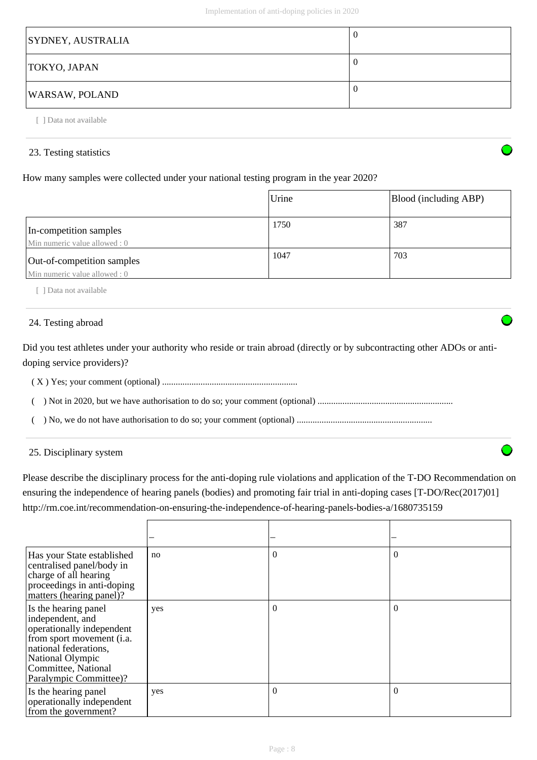| <b>SYDNEY, AUSTRALIA</b> | U |
|--------------------------|---|
| TOKYO, JAPAN             | U |
| <b>WARSAW, POLAND</b>    | U |

[ ] Data not available

# 23. Testing statistics

# How many samples were collected under your national testing program in the year 2020?

|                                                             | Urine | Blood (including ABP) |
|-------------------------------------------------------------|-------|-----------------------|
| In-competition samples<br>Min numeric value allowed: 0      | 1750  | 387                   |
| Out-of-competition samples<br>Min numeric value allowed : 0 | 1047  | 703                   |

[ ] Data not available

# 24. Testing abroad

Did you test athletes under your authority who reside or train abroad (directly or by subcontracting other ADOs or antidoping service providers)?

( X ) Yes; your comment (optional) ............................................................

( ) Not in 2020, but we have authorisation to do so; your comment (optional) ............................................................

( ) No, we do not have authorisation to do so; your comment (optional) ............................................................

25. Disciplinary system

Please describe the disciplinary process for the anti-doping rule violations and application of the T-DO Recommendation on ensuring the independence of hearing panels (bodies) and promoting fair trial in anti-doping cases [T-DO/Rec(2017)01] http://rm.coe.int/recommendation-on-ensuring-the-independence-of-hearing-panels-bodies-a/1680735159

| Has your State established<br>centralised panel/body in<br>charge of all hearing<br>proceedings in anti-doping<br>matters (hearing panel)?                                                       | no  | $\theta$ | $\Omega$ |
|--------------------------------------------------------------------------------------------------------------------------------------------------------------------------------------------------|-----|----------|----------|
| Is the hearing panel<br>independent, and<br>operationally independent<br>from sport movement (i.a.<br>national federations,<br>National Olympic<br>Committee, National<br>Paralympic Committee)? | yes | $\theta$ | $\theta$ |
| Is the hearing panel<br>operationally independent<br>from the government?                                                                                                                        | yes | $\theta$ | $\Omega$ |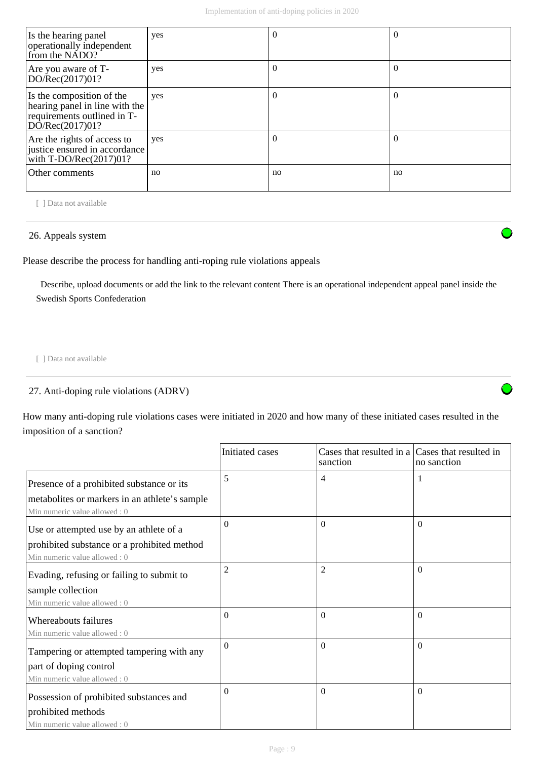| Is the hearing panel<br>operationally independent<br>from the NADO?                                           | yes | $\theta$ | $\Omega$ |
|---------------------------------------------------------------------------------------------------------------|-----|----------|----------|
| Are you aware of T-<br>DO/Rec(2017)01?                                                                        | yes | 0        | $\Omega$ |
| Is the composition of the<br>hearing panel in line with the<br>requirements outlined in T-<br>DO/Rec(2017)01? | yes | $\theta$ | $\theta$ |
| Are the rights of access to<br>justice ensured in accordance<br>with $T\text{-DO/Rec}(2017)01?$               | yes | 0        | 0        |
| Other comments                                                                                                | no  | no       | no       |

[ ] Data not available

## 26. Appeals system

Please describe the process for handling anti-roping rule violations appeals

 Describe, upload documents or add the link to the relevant content There is an operational independent appeal panel inside the Swedish Sports Confederation

[ ] Data not available

27. Anti-doping rule violations (ADRV)

How many anti-doping rule violations cases were initiated in 2020 and how many of these initiated cases resulted in the imposition of a sanction?

|                                                                               | Initiated cases | Cases that resulted in a Cases that resulted in<br>sanction | no sanction |
|-------------------------------------------------------------------------------|-----------------|-------------------------------------------------------------|-------------|
| Presence of a prohibited substance or its                                     | 5               | $\overline{4}$                                              | -1          |
| metabolites or markers in an athlete's sample<br>Min numeric value allowed: 0 |                 |                                                             |             |
| Use or attempted use by an athlete of a                                       | 0               | $\Omega$                                                    | $\Omega$    |
| prohibited substance or a prohibited method<br>Min numeric value allowed: 0   |                 |                                                             |             |
| Evading, refusing or failing to submit to                                     | $\overline{2}$  | $\overline{2}$                                              | $\Omega$    |
| sample collection<br>Min numeric value allowed: 0                             |                 |                                                             |             |
| Whereabouts failures                                                          | $\theta$        | $\Omega$                                                    | $\theta$    |
| Min numeric value allowed: 0                                                  |                 |                                                             |             |
| Tampering or attempted tampering with any                                     | $\Omega$        | $\Omega$                                                    | $\theta$    |
| part of doping control                                                        |                 |                                                             |             |
| Min numeric value allowed: 0                                                  |                 |                                                             |             |
| Possession of prohibited substances and                                       | 0               | $\Omega$                                                    | $\theta$    |
| prohibited methods                                                            |                 |                                                             |             |
| Min numeric value allowed: 0                                                  |                 |                                                             |             |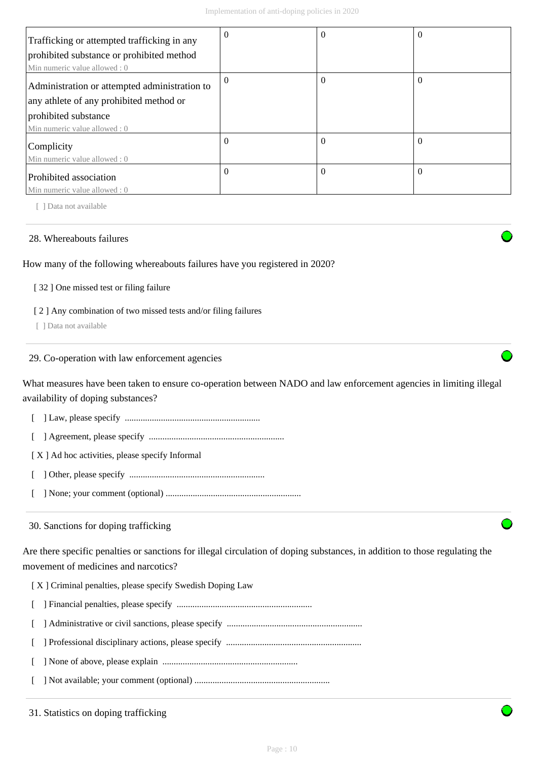| Trafficking or attempted trafficking in any   | $\Omega$ | v        | $\theta$ |
|-----------------------------------------------|----------|----------|----------|
| prohibited substance or prohibited method     |          |          |          |
| Min numeric value allowed: 0                  |          |          |          |
| Administration or attempted administration to | $\Omega$ | 0        | $\theta$ |
| any athlete of any prohibited method or       |          |          |          |
| prohibited substance                          |          |          |          |
| Min numeric value allowed: 0                  |          |          |          |
| Complicity                                    | $\Omega$ | $\theta$ | $\Omega$ |
| Min numeric value allowed: 0                  |          |          |          |
| Prohibited association                        | $\Omega$ | $\theta$ | $\theta$ |
| Min numeric value allowed : 0                 |          |          |          |

[ ] Data not available

#### 28. Whereabouts failures

#### How many of the following whereabouts failures have you registered in 2020?

#### [ 32 ] One missed test or filing failure

#### [ 2 ] Any combination of two missed tests and/or filing failures

[ ] Data not available

#### 29. Co-operation with law enforcement agencies

What measures have been taken to ensure co-operation between NADO and law enforcement agencies in limiting illegal availability of doping substances?

- [ ] Law, please specify ............................................................
- [ ] Agreement, please specify ............................................................

[X] Ad hoc activities, please specify Informal

- [ ] Other, please specify ............................................................
- [ ] None; your comment (optional) ............................................................

#### 30. Sanctions for doping trafficking

Are there specific penalties or sanctions for illegal circulation of doping substances, in addition to those regulating the movement of medicines and narcotics?

- [ X ] Criminal penalties, please specify Swedish Doping Law
- [ ] Financial penalties, please specify ............................................................
- [ ] Administrative or civil sanctions, please specify ............................................................
- [ ] Professional disciplinary actions, please specify ............................................................
- [ ] None of above, please explain ............................................................
- [ ] Not available; your comment (optional) ............................................................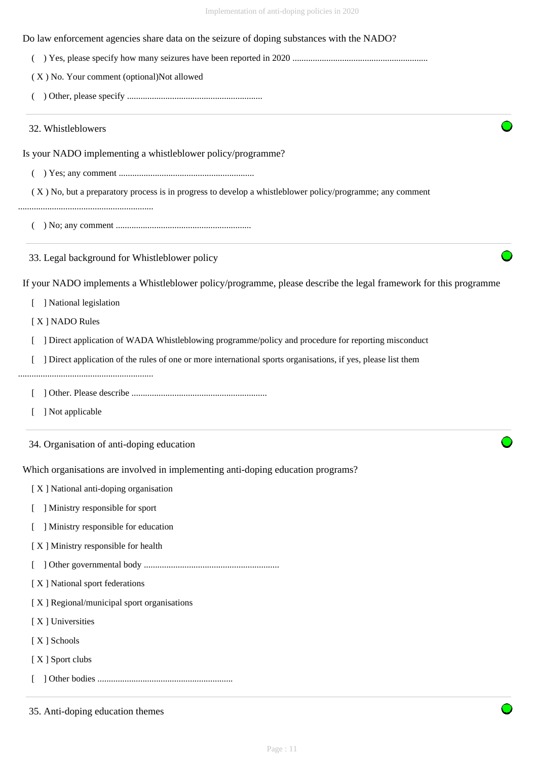| Do law enforcement agencies share data on the seizure of doping substances with the NADO? |  |
|-------------------------------------------------------------------------------------------|--|
|                                                                                           |  |

( ) Yes, please specify how many seizures have been reported in 2020 ............................................................

( X ) No. Your comment (optional)Not allowed

( ) Other, please specify ............................................................

32. Whistleblowers

Is your NADO implementing a whistleblower policy/programme?

( ) Yes; any comment ............................................................

( X ) No, but a preparatory process is in progress to develop a whistleblower policy/programme; any comment

............................................................

( ) No; any comment ............................................................

33. Legal background for Whistleblower policy

If your NADO implements a Whistleblower policy/programme, please describe the legal framework for this programme

[ ] National legislation

[ X ] NADO Rules

[  $\Box$ ] Direct application of WADA Whistleblowing programme/policy and procedure for reporting misconduct

- [ ] Direct application of the rules of one or more international sports organisations, if yes, please list them
- ............................................................

[ ] Other. Please describe ............................................................

[ ] Not applicable

34. Organisation of anti-doping education

Which organisations are involved in implementing anti-doping education programs?

[ X ] National anti-doping organisation

- [ ] Ministry responsible for sport
- [ ] Ministry responsible for education
- [ X ] Ministry responsible for health
- [ ] Other governmental body ............................................................
- [ X ] National sport federations

[X] Regional/municipal sport organisations

[ X ] Universities

[ X ] Schools

[ X ] Sport clubs

[ ] Other bodies ............................................................

35. Anti-doping education themes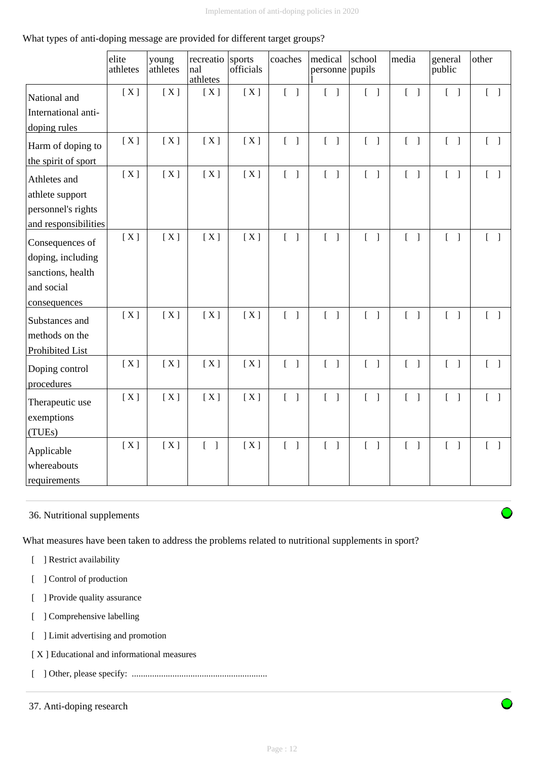## What types of anti-doping message are provided for different target groups?

|                      | elite<br>athletes | young<br>athletes | recreatio<br>nal<br>athletes      | sports<br>officials | coaches                           | medical<br>personne               | school<br>pupils                  | media                             | general<br>public                 | other                             |
|----------------------|-------------------|-------------------|-----------------------------------|---------------------|-----------------------------------|-----------------------------------|-----------------------------------|-----------------------------------|-----------------------------------|-----------------------------------|
| National and         | [X]               | [X]               | [X]                               | [X]                 | $\begin{bmatrix} 1 \end{bmatrix}$ | $\begin{bmatrix} 1 \end{bmatrix}$ | $\begin{bmatrix} 1 \end{bmatrix}$ | $\begin{bmatrix} 1 \end{bmatrix}$ | $\begin{bmatrix} 1 \end{bmatrix}$ | $\begin{bmatrix} 1 \end{bmatrix}$ |
| International anti-  |                   |                   |                                   |                     |                                   |                                   |                                   |                                   |                                   |                                   |
| doping rules         |                   |                   |                                   |                     |                                   |                                   |                                   |                                   |                                   |                                   |
| Harm of doping to    | [X]               | [X]               | [X]                               | [X]                 | $\begin{bmatrix} 1 \end{bmatrix}$ | $\begin{bmatrix} 1 \end{bmatrix}$ | $\begin{bmatrix} 1 \end{bmatrix}$ | $\begin{bmatrix} 1 \end{bmatrix}$ | $\begin{bmatrix} 1 \end{bmatrix}$ | $\begin{bmatrix} 1 \end{bmatrix}$ |
| the spirit of sport  |                   |                   |                                   |                     |                                   |                                   |                                   |                                   |                                   |                                   |
| Athletes and         | [X]               | [X]               | [X]                               | [X]                 | $\begin{bmatrix} 1 \end{bmatrix}$ | $\begin{bmatrix} 1 \end{bmatrix}$ | $\begin{bmatrix} 1 \end{bmatrix}$ | $\begin{bmatrix} 1 \end{bmatrix}$ | $\begin{bmatrix} 1 \end{bmatrix}$ | $\begin{bmatrix} 1 \end{bmatrix}$ |
| athlete support      |                   |                   |                                   |                     |                                   |                                   |                                   |                                   |                                   |                                   |
| personnel's rights   |                   |                   |                                   |                     |                                   |                                   |                                   |                                   |                                   |                                   |
| and responsibilities |                   |                   |                                   |                     |                                   |                                   |                                   |                                   |                                   |                                   |
| Consequences of      | [X]               | [X]               | [X]                               | [X]                 | $\begin{bmatrix} 1 \end{bmatrix}$ | $\begin{bmatrix} 1 \end{bmatrix}$ | $[\ ]$                            | $\begin{bmatrix} 1 \end{bmatrix}$ | $\begin{bmatrix} 1 \end{bmatrix}$ | $[ \ ]$                           |
| doping, including    |                   |                   |                                   |                     |                                   |                                   |                                   |                                   |                                   |                                   |
| sanctions, health    |                   |                   |                                   |                     |                                   |                                   |                                   |                                   |                                   |                                   |
| and social           |                   |                   |                                   |                     |                                   |                                   |                                   |                                   |                                   |                                   |
| consequences         |                   |                   |                                   |                     |                                   |                                   |                                   |                                   |                                   |                                   |
| Substances and       | [X]               | [X]               | [X]                               | [X]                 | $\begin{bmatrix} 1 \end{bmatrix}$ | $\begin{bmatrix} 1 \end{bmatrix}$ | $\begin{bmatrix} 1 \end{bmatrix}$ | $\begin{bmatrix} 1 \end{bmatrix}$ | $\begin{bmatrix} 1 \end{bmatrix}$ | $\begin{bmatrix} 1 \end{bmatrix}$ |
| methods on the       |                   |                   |                                   |                     |                                   |                                   |                                   |                                   |                                   |                                   |
| Prohibited List      |                   |                   |                                   |                     |                                   |                                   |                                   |                                   |                                   |                                   |
| Doping control       | [X]               | [X]               | [X]                               | [X]                 | $\begin{bmatrix} 1 \end{bmatrix}$ | $\begin{bmatrix} 1 \end{bmatrix}$ | $[\ ]$                            | $\begin{bmatrix} 1 \end{bmatrix}$ | $\begin{bmatrix} 1 \end{bmatrix}$ | $[\ ]$                            |
| procedures           |                   |                   |                                   |                     |                                   |                                   |                                   |                                   |                                   |                                   |
| Therapeutic use      | [X]               | [X]               | [X]                               | [X]                 | $\begin{bmatrix} 1 \end{bmatrix}$ | $\begin{bmatrix} 1 \end{bmatrix}$ | $\begin{bmatrix} 1 \end{bmatrix}$ | $\begin{bmatrix} 1 \end{bmatrix}$ | $\begin{bmatrix} 1 \end{bmatrix}$ | $\begin{bmatrix} 1 \end{bmatrix}$ |
| exemptions           |                   |                   |                                   |                     |                                   |                                   |                                   |                                   |                                   |                                   |
| (TUEs)               |                   |                   |                                   |                     |                                   |                                   |                                   |                                   |                                   |                                   |
| Applicable           | [X]               | [X]               | $\begin{bmatrix} 1 \end{bmatrix}$ | [X]                 | $\begin{bmatrix} 1 \end{bmatrix}$ | $\begin{bmatrix} 1 \end{bmatrix}$ | $\begin{bmatrix} 1 \end{bmatrix}$ | $\begin{bmatrix} 1 \end{bmatrix}$ | $\begin{bmatrix} 1 \end{bmatrix}$ | $[\ ]$                            |
| whereabouts          |                   |                   |                                   |                     |                                   |                                   |                                   |                                   |                                   |                                   |
| requirements         |                   |                   |                                   |                     |                                   |                                   |                                   |                                   |                                   |                                   |

# 36. Nutritional supplements

What measures have been taken to address the problems related to nutritional supplements in sport?

- [ ] Restrict availability
- [ ] Control of production
- [ ] Provide quality assurance
- [ ] Comprehensive labelling
- [ ] Limit advertising and promotion
- [ X ] Educational and informational measures
- [ ] Other, please specify: ............................................................

<sup>37.</sup> Anti-doping research